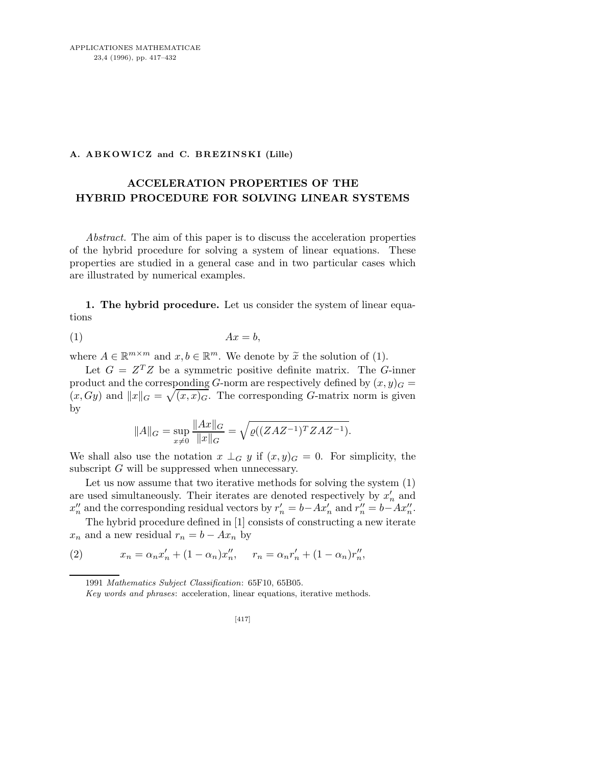## A. ABKOWICZ and C. BREZINSKI (Lille)

## ACCELERATION PROPERTIES OF THE HYBRID PROCEDURE FOR SOLVING LINEAR SYSTEMS

Abstract. The aim of this paper is to discuss the acceleration properties of the hybrid procedure for solving a system of linear equations. These properties are studied in a general case and in two particular cases which are illustrated by numerical examples.

1. The hybrid procedure. Let us consider the system of linear equations

$$
(1) \t\t Ax = b,
$$

where  $A \in \mathbb{R}^{m \times m}$  and  $x, b \in \mathbb{R}^m$ . We denote by  $\tilde{x}$  the solution of (1).

Let  $G = Z^T Z$  be a symmetric positive definite matrix. The G-inner product and the corresponding G-norm are respectively defined by  $(x, y)<sub>G</sub>$  $(x, Gy)$  and  $||x||_G = \sqrt{(x, x)_{G}}$ . The corresponding G-matrix norm is given by

$$
||A||_G = \sup_{x \neq 0} \frac{||Ax||_G}{||x||_G} = \sqrt{\varrho((ZAZ^{-1})^T ZAZ^{-1})}.
$$

We shall also use the notation  $x \perp_G y$  if  $(x, y)_G = 0$ . For simplicity, the subscript  $G$  will be suppressed when unnecessary.

Let us now assume that two iterative methods for solving the system (1) are used simultaneously. Their iterates are denoted respectively by  $x'_n$  and  $x''_n$  and the corresponding residual vectors by  $r'_n = b - Ax'_n$  and  $r''_n = b - Ax''_n$ .

The hybrid procedure defined in [1] consists of constructing a new iterate  $x_n$  and a new residual  $r_n = b - Ax_n$  by

(2) 
$$
x_n = \alpha_n x'_n + (1 - \alpha_n) x''_n, \quad r_n = \alpha_n r'_n + (1 - \alpha_n) r''_n,
$$

<sup>1991</sup> *Mathematics Subject Classification*: 65F10, 65B05.

*Key words and phrases*: acceleration, linear equations, iterative methods.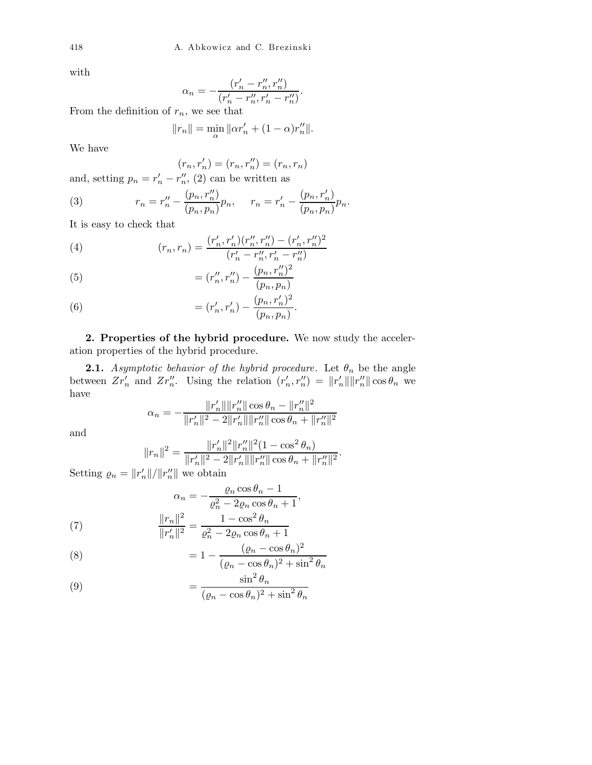with

$$
\alpha_n = -\frac{(r'_n - r''_n, r''_n)}{(r'_n - r''_n, r'_n - r''_n)}.
$$

From the definition of  $r_n$ , we see that

$$
||r_n|| = \min_{\alpha} ||\alpha r'_n + (1 - \alpha)r''_n||.
$$

We have

$$
(r_n, r'_n) = (r_n, r''_n) = (r_n, r_n)
$$

and, setting  $p_n = r'_n - r''_n$ , (2) can be written as

(3) 
$$
r_n = r_n'' - \frac{(p_n, r_n'')}{(p_n, p_n)} p_n, \quad r_n = r_n' - \frac{(p_n, r_n')}{(p_n, p_n)} p_n.
$$

It is easy to check that

(4) 
$$
(r_n, r_n) = \frac{(r'_n, r'_n)(r''_n, r''_n) - (r'_n, r''_n)^2}{(r'_n - r''_n, r'_n - r''_n)}
$$

(5) 
$$
= (r''_n, r''_n) - \frac{(p_n, r''_n)^2}{(p_n, p_n)}
$$

(6) 
$$
= (r'_n, r'_n) - \frac{(p_n, r'_n)^2}{(p_n, p_n)}.
$$

2. Properties of the hybrid procedure. We now study the acceleration properties of the hybrid procedure.

**2.1.** Asymptotic behavior of the hybrid procedure. Let  $\theta_n$  be the angle between  $Zr'_n$  and  $Zr''_n$ . Using the relation  $(r'_n, r''_n) = ||r'_n|| ||r''_n|| \cos \theta_n$  we have

$$
\alpha_n = -\frac{\|r_n'\|\|r_n''\|\cos\theta_n - \|r_n''\|^2}{\|r_n'\|^2 - 2\|r_n'\|\|r_n''\|\cos\theta_n + \|r_n''\|^2}
$$

and

$$
||r_n||^2 = \frac{||r'_n||^2||r''_n||^2(1 - \cos^2\theta_n)}{||r'_n||^2 - 2||r'_n|| ||r''_n|| \cos\theta_n + ||r''_n||^2}.
$$

Setting  $\rho_n = ||r'_n||/||r''_n||$  we obtain

$$
\alpha_n = -\frac{\varrho_n \cos \theta_n - 1}{\varrho_n^2 - 2\varrho_n \cos \theta_n + 1},
$$

$$
||r_n||^2 \qquad 1 - \cos^2 \theta_n
$$

(7) 
$$
\frac{\|r_n\|}{\|r'_n\|^2} = \frac{1 - \cos \theta_n}{\varrho_n^2 - 2\varrho_n \cos \theta_n + 1}
$$

(8) 
$$
= 1 - \frac{(\varrho_n - \cos \theta_n)^2}{(\varrho_n - \cos \theta_n)^2 + \sin^2 \theta_n}
$$

(9) 
$$
= \frac{\sin^2 \theta_n}{(\varrho_n - \cos \theta_n)^2 + \sin^2 \theta_n}
$$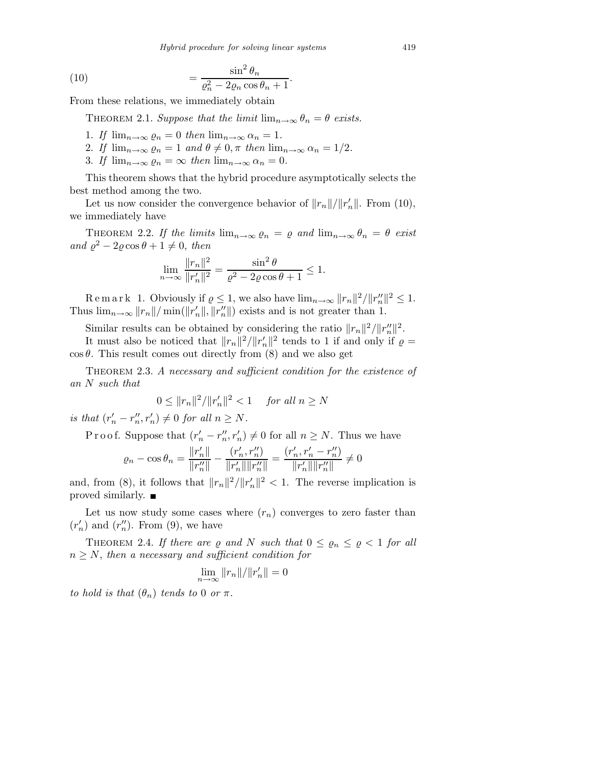*Hybrid procedure for solving linear systems* 419

(10) 
$$
= \frac{\sin^2 \theta_n}{\varrho_n^2 - 2\varrho_n \cos \theta_n + 1}.
$$

From these relations, we immediately obtain

THEOREM 2.1. Suppose that the limit  $\lim_{n\to\infty} \theta_n = \theta$  exists.

- 1. If  $\lim_{n\to\infty} \varrho_n = 0$  then  $\lim_{n\to\infty} \alpha_n = 1$ .
- 2. If  $\lim_{n\to\infty} \varrho_n = 1$  and  $\theta \neq 0, \pi$  then  $\lim_{n\to\infty} \alpha_n = 1/2$ .
- 3. If  $\lim_{n\to\infty} \varrho_n = \infty$  then  $\lim_{n\to\infty} \alpha_n = 0$ .

This theorem shows that the hybrid procedure asymptotically selects the best method among the two.

Let us now consider the convergence behavior of  $||r_n||/||r_n'||$ . From (10), we immediately have

THEOREM 2.2. If the limits  $\lim_{n\to\infty} \varrho_n = \varrho$  and  $\lim_{n\to\infty} \theta_n = \theta$  exist and  $\varrho^2 - 2\varrho \cos \theta + 1 \neq 0$ , then

$$
\lim_{n \to \infty} \frac{\|r_n\|^2}{\|r'_n\|^2} = \frac{\sin^2 \theta}{\varrho^2 - 2\varrho \cos \theta + 1} \le 1.
$$

Remark 1. Obviously if  $\varrho \leq 1$ , we also have  $\lim_{n\to\infty} ||r_n||^2 / ||r_n''||^2 \leq 1$ . Thus  $\lim_{n\to\infty} ||r_n|| / \min(||r_n'||, ||r_n''||)$  exists and is not greater than 1.

Similar results can be obtained by considering the ratio  $||r_n||^2/||r''_n||^2$ .

It must also be noticed that  $||r_n||^2/||r'_n||^2$  tends to 1 if and only if  $\varrho =$  $\cos \theta$ . This result comes out directly from (8) and we also get

THEOREM 2.3. A necessary and sufficient condition for the existence of an N such that

$$
0 \le ||r_n||^2 / ||r'_n||^2 < 1 \quad \text{for all } n \ge N
$$

is that  $(r'_n - r''_n, r'_n) \neq 0$  for all  $n \geq N$ .

P r o o f. Suppose that  $(r'_n - r''_n, r'_n) \neq 0$  for all  $n \geq N$ . Thus we have

$$
\varrho_n - \cos \theta_n = \frac{\|r'_n\|}{\|r''_n\|} - \frac{(r'_n, r''_n)}{\|r'_n\| \|r''_n\|} = \frac{(r'_n, r'_n - r''_n)}{\|r'_n\| \|r''_n\|} \neq 0
$$

and, from (8), it follows that  $||r_n||^2/||r'_n||^2 < 1$ . The reverse implication is proved similarly.  $\blacksquare$ 

Let us now study some cases where  $(r_n)$  converges to zero faster than  $(r'_n)$  and  $(r''_n)$ . From (9), we have

THEOREM 2.4. If there are  $\rho$  and N such that  $0 \leq \rho_n \leq \rho \leq 1$  for all  $n \geq N$ , then a necessary and sufficient condition for

$$
\lim_{n\to\infty} \|r_n\|/\|r_n'\|=0
$$

to hold is that  $(\theta_n)$  tends to 0 or  $\pi$ .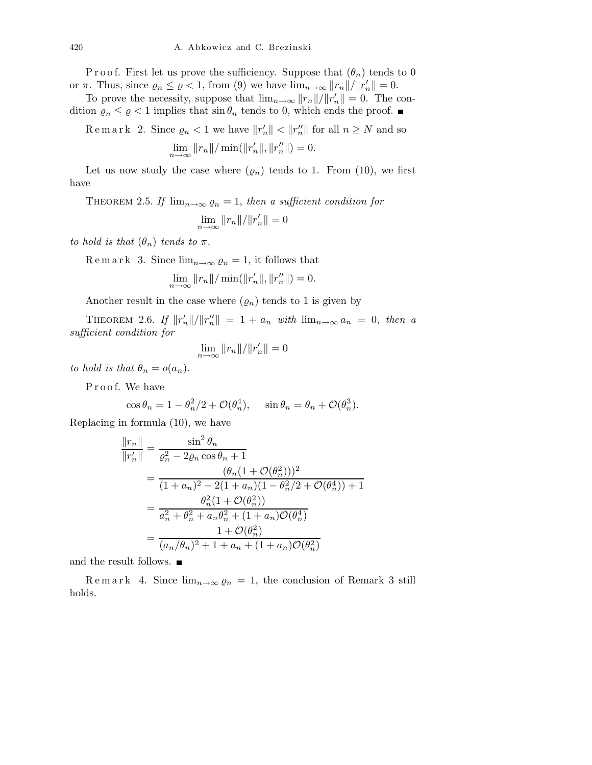P r o o f. First let us prove the sufficiency. Suppose that  $(\theta_n)$  tends to 0 or  $\pi$ . Thus, since  $\varrho_n \leq \varrho < 1$ , from (9) we have  $\lim_{n\to\infty} ||r_n||/||r_n'|| = 0$ .

To prove the necessity, suppose that  $\lim_{n\to\infty} ||r_n||/||r_n'|| = 0$ . The condition  $\varrho_n \leq \varrho < 1$  implies that  $\sin \theta_n$  tends to 0, which ends the proof.

Remark 2. Since  $\rho_n < 1$  we have  $||r_n'|| < ||r_n''||$  for all  $n \geq N$  and so  $\lim_{n \to \infty} ||r_n|| / \min(||r'_n||, ||r''_n||) = 0.$ 

Let us now study the case where  $(\varrho_n)$  tends to 1. From (10), we first have

THEOREM 2.5. If  $\lim_{n\to\infty} \rho_n = 1$ , then a sufficient condition for

$$
\lim_{n \to \infty} ||r_n|| / ||r'_n|| = 0
$$

to hold is that  $(\theta_n)$  tends to  $\pi$ .

R e m a r k 3. Since  $\lim_{n\to\infty} \varrho_n = 1$ , it follows that

$$
\lim_{n \to \infty} ||r_n|| / \min(||r_n'||, ||r_n''||) = 0.
$$

Another result in the case where  $(\varrho_n)$  tends to 1 is given by

THEOREM 2.6. If  $||r_n'||/||r_n''|| = 1 + a_n$  with  $\lim_{n\to\infty} a_n = 0$ , then a sufficient condition for

$$
\lim_{n\to\infty}||r_n||/||r_n'||=0
$$

to hold is that  $\theta_n = o(a_n)$ .

Proof. We have

$$
\cos \theta_n = 1 - \theta_n^2 / 2 + \mathcal{O}(\theta_n^4), \quad \sin \theta_n = \theta_n + \mathcal{O}(\theta_n^3).
$$

Replacing in formula (10), we have

$$
\frac{\|r_n\|}{\|r'_n\|} = \frac{\sin^2 \theta_n}{\varrho_n^2 - 2\varrho_n \cos \theta_n + 1}
$$
  
= 
$$
\frac{(\theta_n (1 + \mathcal{O}(\theta_n^2)))^2}{(1 + a_n)^2 - 2(1 + a_n)(1 - \theta_n^2/2 + \mathcal{O}(\theta_n^4)) + 1}
$$
  
= 
$$
\frac{\theta_n^2 (1 + \mathcal{O}(\theta_n^2))}{a_n^2 + \theta_n^2 + a_n \theta_n^2 + (1 + a_n)\mathcal{O}(\theta_n^4)}
$$
  
= 
$$
\frac{1 + \mathcal{O}(\theta_n^2)}{(a_n/\theta_n)^2 + 1 + a_n + (1 + a_n)\mathcal{O}(\theta_n^2)}
$$

and the result follows.  $\blacksquare$ 

Remark 4. Since  $\lim_{n\to\infty} \varrho_n = 1$ , the conclusion of Remark 3 still holds.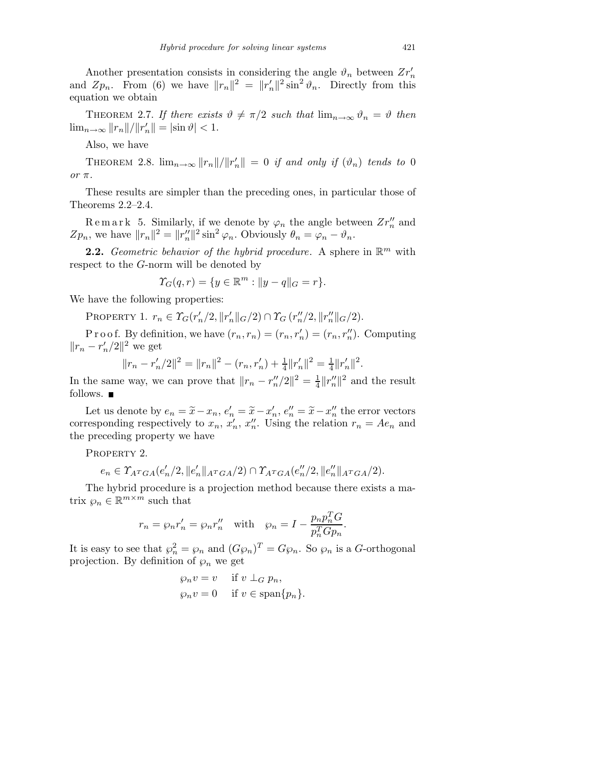Another presentation consists in considering the angle  $\vartheta_n$  between  $Zr'_n$ and  $Zp_n$ . From (6) we have  $||r_n||^2 = ||r_n'||^2 \sin^2 \vartheta_n$ . Directly from this equation we obtain

THEOREM 2.7. If there exists  $\vartheta \neq \pi/2$  such that  $\lim_{n\to\infty} \vartheta_n = \vartheta$  then  $\lim_{n \to \infty} ||r_n|| / ||r'_n|| = |\sin \vartheta| < 1.$ 

Also, we have

THEOREM 2.8.  $\lim_{n\to\infty} ||r_n||/||r_n'|| = 0$  if and only if  $(\vartheta_n)$  tends to 0 or π.

These results are simpler than the preceding ones, in particular those of Theorems 2.2–2.4.

Remark 5. Similarly, if we denote by  $\varphi_n$  the angle between  $Zr''_n$  and  $Zp_n$ , we have  $||r_n||^2 = ||r_n''||^2 \sin^2 \varphi_n$ . Obviously  $\theta_n = \varphi_n - \vartheta_n$ .

**2.2.** Geometric behavior of the hybrid procedure. A sphere in  $\mathbb{R}^m$  with respect to the G-norm will be denoted by

$$
\Upsilon_G(q,r) = \{ y \in \mathbb{R}^m : ||y - q||_G = r \}.
$$

We have the following properties:

PROPERTY 1.  $r_n \in \Upsilon_G(r'_n/2, ||r'_n||_G/2) \cap \Upsilon_G(r''_n/2, ||r''_n||_G/2).$ 

P r o o f. By definition, we have  $(r_n, r_n) = (r_n, r'_n) = (r_n, r''_n)$ . Computing  $||r_n - r'_n/2||^2$  we get

$$
||r_n - r'_n/2||^2 = ||r_n||^2 - (r_n, r'_n) + \frac{1}{4}||r'_n||^2 = \frac{1}{4}||r'_n||^2.
$$

In the same way, we can prove that  $||r_n - r''_n/2||^2 = \frac{1}{4}$  $\frac{1}{4} ||r''_n||^2$  and the result follows.  $\blacksquare$ 

Let us denote by  $e_n = \tilde{x} - x_n$ ,  $e'_n = \tilde{x} - x'_n$ ,  $e''_n = \tilde{x} - x''_n$  the error vectors corresponding respectively to  $x_n, x'_n, x''_n$ . Using the relation  $r_n = Ae_n$  and the preceding property we have

PROPERTY 2.

$$
e_n \in \Upsilon_{A^TGA}(e'_n/2, \|e'_n\|_{A^TGA}/2) \cap \Upsilon_{A^TGA}(e''_n/2, \|e''_n\|_{A^TGA}/2).
$$

The hybrid procedure is a projection method because there exists a matrix  $\wp_n \in \mathbb{R}^{m \times m}$  such that

$$
r_n = \wp_n r_n' = \wp_n r_n'' \quad \text{with} \quad \wp_n = I - \frac{p_n p_n^T G}{p_n^T G p_n}.
$$

It is easy to see that  $\wp_n^2 = \wp_n$  and  $(G\wp_n)^T = G\wp_n$ . So  $\wp_n$  is a G-orthogonal projection. By definition of  $\wp_n$  we get

$$
\wp_n v = v \quad \text{if } v \perp_G p_n,
$$
  

$$
\wp_n v = 0 \quad \text{if } v \in \text{span}\{p_n\}.
$$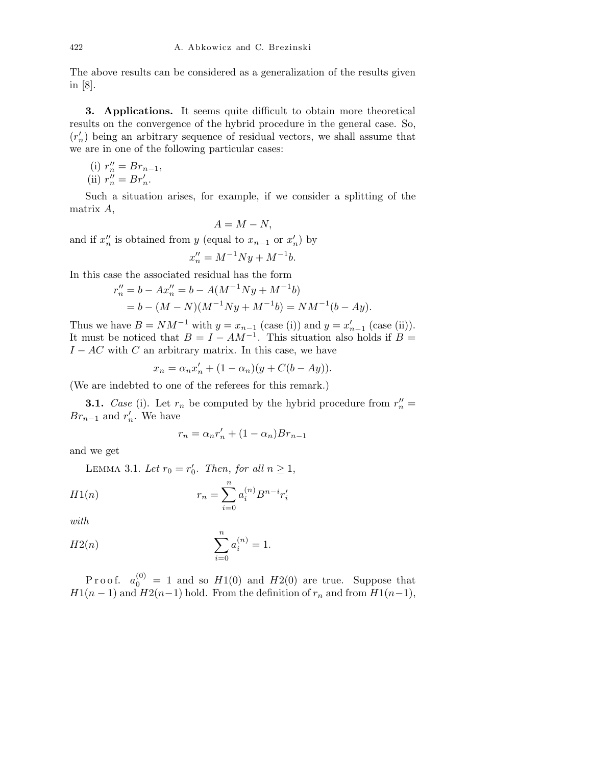The above results can be considered as a generalization of the results given in [8].

3. Applications. It seems quite difficult to obtain more theoretical results on the convergence of the hybrid procedure in the general case. So,  $(r'_n)$  being an arbitrary sequence of residual vectors, we shall assume that we are in one of the following particular cases:

(i) 
$$
r''_n = Br_{n-1}
$$
, (ii)  $r''_n = Br'_n$ .

Such a situation arises, for example, if we consider a splitting of the matrix A,

) by

$$
A = M - N,
$$
  
and if  $x_n''$  is obtained from y (equal to  $x_{n-1}$  or  $x_n'$ )  

$$
x_n'' = M^{-1}Ny + M^{-1}b.
$$

In this case the associated residual has the form

$$
r_n'' = b - Ax_n'' = b - A(M^{-1}Ny + M^{-1}b)
$$
  
= b - (M - N)(M^{-1}Ny + M^{-1}b) = NM^{-1}(b - Ay).

Thus we have  $B = NM^{-1}$  with  $y = x_{n-1}$  (case (i)) and  $y = x'_{n-1}$  (case (ii)). It must be noticed that  $B = I - AM^{-1}$ . This situation also holds if  $B =$  $I - AC$  with C an arbitrary matrix. In this case, we have

$$
x_n = \alpha_n x'_n + (1 - \alpha_n)(y + C(b - Ay)).
$$

(We are indebted to one of the referees for this remark.)

**3.1.** Case (i). Let  $r_n$  be computed by the hybrid procedure from  $r''_n =$  $Br_{n-1}$  and  $r'_n$ . We have

$$
r_n = \alpha_n r'_n + (1 - \alpha_n) B r_{n-1}
$$

and we get

LEMMA 3.1. Let  $r_0 = r'_0$ . Then, for all  $n \ge 1$ ,

$$
H1(n) \t\t\t r_n = \sum_{i=0}^{n} a_i^{(n)} B^{n-i} r'_i
$$

with

$$
H2(n) \t\t \sum_{i=0}^{n} a_i^{(n)} = 1.
$$

P r o o f.  $a_0^{(0)} = 1$  and so  $H1(0)$  and  $H2(0)$  are true. Suppose that  $H1(n-1)$  and  $H2(n-1)$  hold. From the definition of  $r_n$  and from  $H1(n-1)$ ,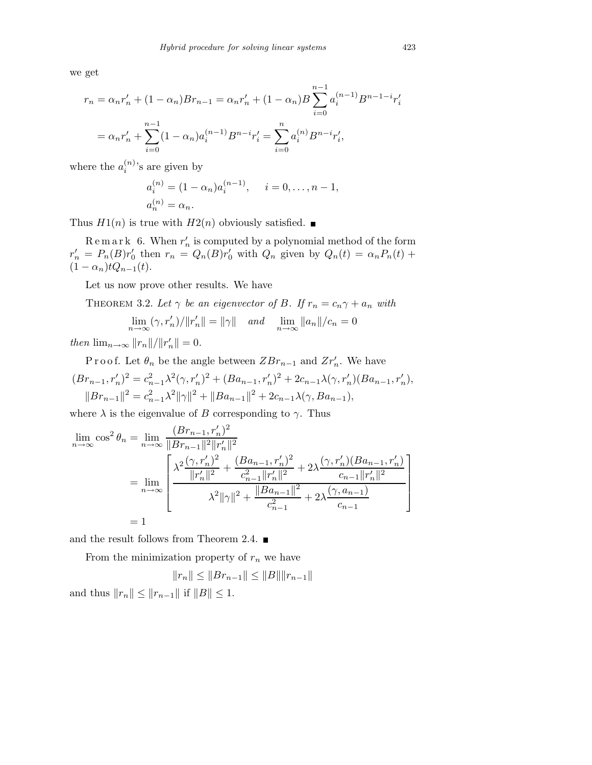we get

$$
r_n = \alpha_n r'_n + (1 - \alpha_n)Br_{n-1} = \alpha_n r'_n + (1 - \alpha_n)B \sum_{i=0}^{n-1} a_i^{(n-1)} B^{n-1-i} r'_i
$$
  
=  $\alpha_n r'_n + \sum_{i=0}^{n-1} (1 - \alpha_n) a_i^{(n-1)} B^{n-i} r'_i = \sum_{i=0}^{n} a_i^{(n)} B^{n-i} r'_i$ ,

where the  $a_i^{(n)}$ 's are given by

$$
a_i^{(n)} = (1 - \alpha_n) a_i^{(n-1)}, \quad i = 0, \dots, n-1,
$$
  
 $a_n^{(n)} = \alpha_n.$ 

Thus  $H1(n)$  is true with  $H2(n)$  obviously satisfied.

 $\text{R} \text{ e m a r k } 6. \text{ When } r_n' \text{ is computed by a polynomial method of the form}$  $r'_n = P_n(B)r'_0$  then  $r_n = Q_n(B)r'_0$  with  $Q_n$  given by  $Q_n(t) = \alpha_n P_n(t) +$  $(1 - \alpha_n)tQ_{n-1}(t).$ 

Let us now prove other results. We have

THEOREM 3.2. Let  $\gamma$  be an eigenvector of B. If  $r_n = c_n \gamma + a_n$  with

$$
\lim_{n \to \infty} (\gamma, r'_n) / ||r'_n|| = ||\gamma|| \quad \text{and} \quad \lim_{n \to \infty} ||a_n|| / c_n = 0
$$

then  $\lim_{n\to\infty} ||r_n||/||r_n'|| = 0.$ 

P r o o f. Let  $\theta_n$  be the angle between  $ZBr_{n-1}$  and  $Zr'_n$ . We have  $(Br_{n-1}, r'_n)^2 = c_{n-1}^2 \lambda^2 (\gamma, r'_n)^2 + (Ba_{n-1}, r'_n)^2 + 2c_{n-1}\lambda(\gamma, r'_n)(Ba_{n-1}, r'_n),$  $||Br_{n-1}||^2 = c_{n-1}^2 \lambda^2 ||\gamma||^2 + ||Ba_{n-1}||^2 + 2c_{n-1}\lambda(\gamma, Ba_{n-1}),$ 

where  $\lambda$  is the eigenvalue of B corresponding to  $\gamma$ . Thus

$$
\lim_{n \to \infty} \cos^2 \theta_n = \lim_{n \to \infty} \frac{(Br_{n-1}, r'_n)^2}{\|Br_{n-1}\|^2 \|r'_n\|^2}
$$
\n
$$
= \lim_{n \to \infty} \left[ \frac{\lambda^2 \frac{(\gamma, r'_n)^2}{\|r'_n\|^2} + \frac{(Ba_{n-1}, r'_n)^2}{c_{n-1}^2 \|r'_n\|^2} + 2\lambda \frac{(\gamma, r'_n)(Ba_{n-1}, r'_n)}{c_{n-1} \|r'_n\|^2}}{\lambda^2 \|\gamma\|^2 + \frac{\|Ba_{n-1}\|^2}{c_{n-1}^2} + 2\lambda \frac{(\gamma, a_{n-1})}{c_{n-1}} \right]
$$
\n
$$
= 1
$$

and the result follows from Theorem 2.4.  $\blacksquare$ 

From the minimization property of  $r_n$  we have

$$
||r_n|| \le ||Br_{n-1}|| \le ||B|| ||r_{n-1}||
$$
  
and thus  $||r_n|| \le ||r_{n-1}||$  if  $||B|| \le 1$ .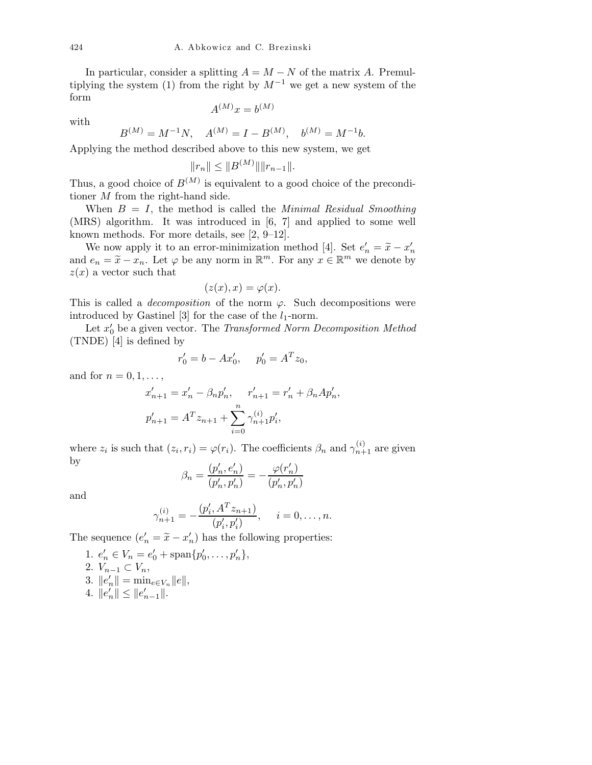In particular, consider a splitting  $A = M - N$  of the matrix A. Premultiplying the system (1) from the right by  $M^{-1}$  we get a new system of the form  $(11)$ 

with

$$
A^{(M)}x = b^{(M)}
$$

$$
B^{(M)} = M^{-1}N, \quad A^{(M)} = I - B^{(M)}, \quad b^{(M)} = M^{-1}b.
$$

Applying the method described above to this new system, we get

$$
||r_n|| \leq ||B^{(M)}|| ||r_{n-1}||.
$$

Thus, a good choice of  $B^{(M)}$  is equivalent to a good choice of the preconditioner M from the right-hand side.

When  $B = I$ , the method is called the *Minimal Residual Smoothing* (MRS) algorithm. It was introduced in [6, 7] and applied to some well known methods. For more details, see [2, 9–12].

We now apply it to an error-minimization method [4]. Set  $e'_n = \tilde{x} - x'_n$ and  $e_n = \tilde{x} - x_n$ . Let  $\varphi$  be any norm in  $\mathbb{R}^m$ . For any  $x \in \mathbb{R}^m$  we denote by  $z(x)$  a vector such that

$$
(z(x),x)=\varphi(x).
$$

This is called a *decomposition* of the norm  $\varphi$ . Such decompositions were introduced by Gastinel [3] for the case of the  $l_1$ -norm.

Let  $x'_0$  be a given vector. The *Transformed Norm Decomposition Method* (TNDE) [4] is defined by

$$
r'_0 = b - Ax'_0, \quad p'_0 = A^T z_0,
$$

and for  $n = 0, 1, \ldots$ ,

$$
x'_{n+1} = x'_{n} - \beta_n p'_{n}, \quad r'_{n+1} = r'_{n} + \beta_n A p'_{n},
$$
  

$$
p'_{n+1} = A^T z_{n+1} + \sum_{i=0}^{n} \gamma^{(i)}_{n+1} p'_{i},
$$

where  $z_i$  is such that  $(z_i, r_i) = \varphi(r_i)$ . The coefficients  $\beta_n$  and  $\gamma_{n+1}^{(i)}$  are given by

$$
\beta_n = \frac{(p'_n, e'_n)}{(p'_n, p'_n)} = -\frac{\varphi(r'_n)}{(p'_n, p'_n)}
$$

and

$$
\gamma_{n+1}^{(i)} = -\frac{(p_i', A^T z_{n+1})}{(p_i', p_i')}, \quad i = 0, \dots, n.
$$

The sequence  $(e'_n = \tilde{x} - x'_n)$  has the following properties:

1.  $e'_n \in V_n = e'_0 + \text{span}\{p'_0, \ldots, p'_n\},\$ 2.  $V_{n-1} \subset V_n$ , 3.  $||e'_n|| = \min_{e \in V_n} ||e||$ , 4.  $||e'_n|| \leq ||e'_{n-1}||.$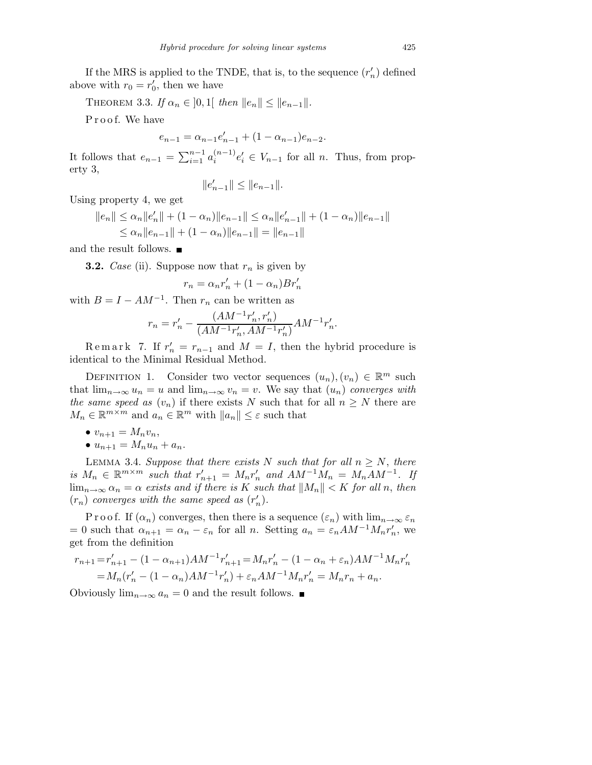If the MRS is applied to the TNDE, that is, to the sequence  $(r'_n)$  defined above with  $r_0 = r'_0$ , then we have

THEOREM 3.3. If  $\alpha_n \in ]0,1[$  then  $||e_n|| \le ||e_{n-1}||$ .

Proof. We have

$$
e_{n-1} = \alpha_{n-1} e'_{n-1} + (1 - \alpha_{n-1}) e_{n-2}.
$$

It follows that  $e_{n-1} = \sum_{i=1}^{n-1} a_i^{(n-1)} e'_i \in V_{n-1}$  for all n. Thus, from property 3,

$$
||e'_{n-1}|| \leq ||e_{n-1}||.
$$

Using property 4, we get

$$
||e_n|| \leq \alpha_n ||e'_n|| + (1 - \alpha_n) ||e_{n-1}|| \leq \alpha_n ||e'_{n-1}|| + (1 - \alpha_n) ||e_{n-1}||
$$
  

$$
\leq \alpha_n ||e_{n-1}|| + (1 - \alpha_n) ||e_{n-1}|| = ||e_{n-1}||
$$

and the result follows.  $\blacksquare$ 

**3.2.** Case (ii). Suppose now that  $r_n$  is given by

$$
r_n = \alpha_n r'_n + (1 - \alpha_n)Br'_n
$$

with  $B = I - AM^{-1}$ . Then  $r_n$  can be written as

$$
r_n = r_n' - \frac{(AM^{-1}r_n',r_n')}{(AM^{-1}r_n',AM^{-1}r_n')}AM^{-1}r_n'.
$$

Remark 7. If  $r'_n = r_{n-1}$  and  $M = I$ , then the hybrid procedure is identical to the Minimal Residual Method.

DEFINITION 1. Consider two vector sequences  $(u_n), (v_n) \in \mathbb{R}^m$  such that  $\lim_{n\to\infty}u_n=u$  and  $\lim_{n\to\infty}v_n=v$ . We say that  $(u_n)$  converges with the same speed as  $(v_n)$  if there exists N such that for all  $n \geq N$  there are  $M_n \in \mathbb{R}^{m \times m}$  and  $a_n \in \mathbb{R}^m$  with  $||a_n|| \leq \varepsilon$  such that

•  $v_{n+1} = M_n v_n,$ •  $u_{n+1} = M_n u_n + a_n$ .

LEMMA 3.4. Suppose that there exists N such that for all  $n \geq N$ , there is  $M_n \in \mathbb{R}^{m \times m}$  such that  $r'_{n+1} = M_n r'_n$  and  $AM^{-1}M_n = M_nAM^{-1}$ . If  $\lim_{n\to\infty} \alpha_n = \alpha$  exists and if there is K such that  $||M_n|| < K$  for all n, then  $(r_n)$  converges with the same speed as  $(r'_n)$ .

P r o o f. If  $(\alpha_n)$  converges, then there is a sequence  $(\varepsilon_n)$  with  $\lim_{n\to\infty} \varepsilon_n$ = 0 such that  $\alpha_{n+1} = \alpha_n - \varepsilon_n$  for all n. Setting  $a_n = \varepsilon_n A M^{-1} M_n r'_n$ , we get from the definition

$$
r_{n+1} = r'_{n+1} - (1 - \alpha_{n+1})A M^{-1} r'_{n+1} = M_n r'_n - (1 - \alpha_n + \varepsilon_n)A M^{-1} M_n r'_n
$$
  
=  $M_n(r'_n - (1 - \alpha_n)A M^{-1} r'_n) + \varepsilon_n A M^{-1} M_n r'_n = M_n r_n + a_n.$ 

Obviously  $\lim_{n\to\infty} a_n = 0$  and the result follows. ■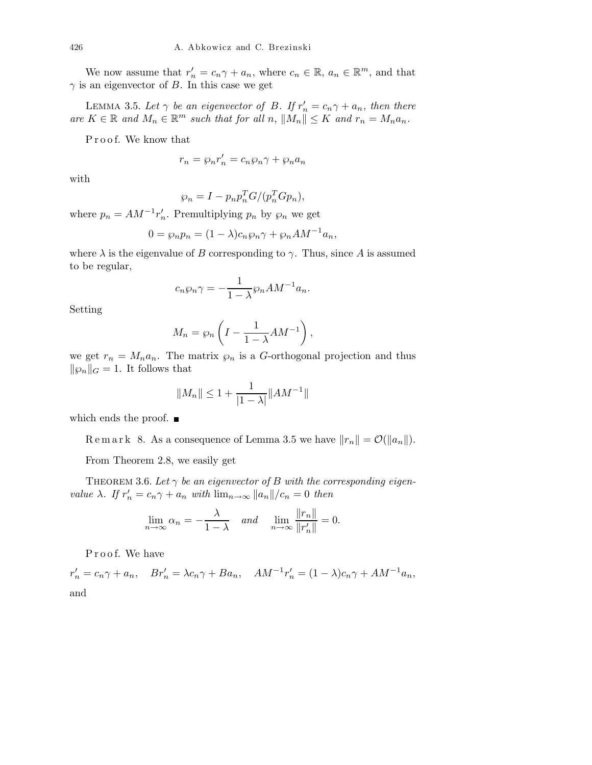We now assume that  $r'_n = c_n \gamma + a_n$ , where  $c_n \in \mathbb{R}$ ,  $a_n \in \mathbb{R}^m$ , and that  $\gamma$  is an eigenvector of B. In this case we get

LEMMA 3.5. Let  $\gamma$  be an eigenvector of B. If  $r'_n = c_n \gamma + a_n$ , then there are  $K \in \mathbb{R}$  and  $M_n \in \mathbb{R}^m$  such that for all n,  $||M_n|| \leq K$  and  $r_n = M_n a_n$ .

Proof. We know that

$$
r_n = \wp_n r'_n = c_n \wp_n \gamma + \wp_n a_n
$$

with

$$
\wp_n = I - p_n p_n^T G / (p_n^T G p_n),
$$

where  $p_n = AM^{-1}r'_n$ . Premultiplying  $p_n$  by  $\wp_n$  we get

$$
0 = \wp_n p_n = (1 - \lambda)c_n \wp_n \gamma + \wp_n A M^{-1} a_n,
$$

where  $\lambda$  is the eigenvalue of B corresponding to  $\gamma$ . Thus, since A is assumed to be regular,

$$
c_n \wp_n \gamma = -\frac{1}{1 - \lambda} \wp_n A M^{-1} a_n.
$$

Setting

$$
M_n = \wp_n \left( I - \frac{1}{1 - \lambda} A M^{-1} \right),
$$

we get  $r_n = M_n a_n$ . The matrix  $\wp_n$  is a G-orthogonal projection and thus  $\|\wp_n\|_G = 1.$  It follows that

$$
||M_n|| \le 1 + \frac{1}{|1 - \lambda|} ||AM^{-1}||
$$

which ends the proof.  $\blacksquare$ 

R e m a r k 8. As a consequence of Lemma 3.5 we have  $||r_n|| = \mathcal{O}(|a_n||)$ .

From Theorem 2.8, we easily get

THEOREM 3.6. Let  $\gamma$  be an eigenvector of B with the corresponding eigenvalue  $\lambda$ . If  $r'_n = c_n \gamma + a_n$  with  $\lim_{n \to \infty} ||a_n||/c_n = 0$  then

$$
\lim_{n \to \infty} \alpha_n = -\frac{\lambda}{1 - \lambda} \quad \text{and} \quad \lim_{n \to \infty} \frac{\|r_n\|}{\|r_n'\|} = 0.
$$

Proof. We have

 $r'_n = c_n \gamma + a_n$ ,  $Br'_n = \lambda c_n \gamma + Ba_n$ ,  $AM^{-1}r'_n = (1 - \lambda)c_n \gamma + AM^{-1}a_n$ , and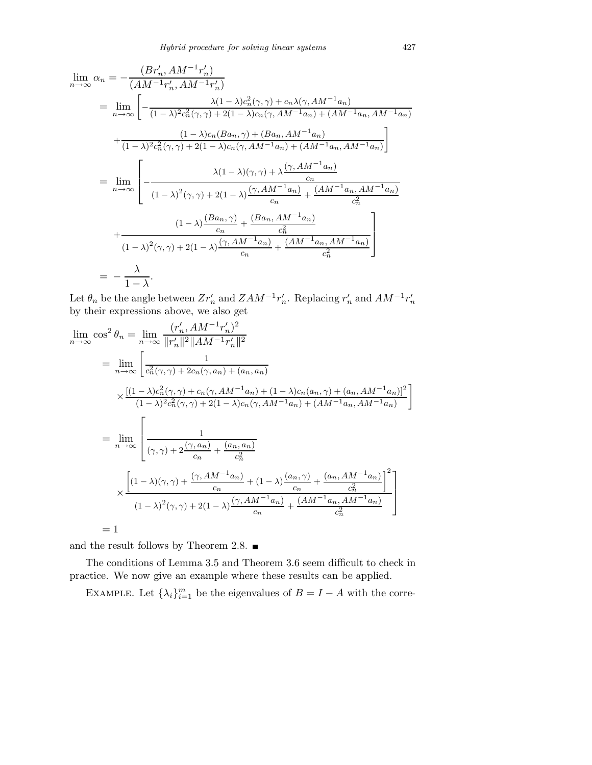$$
\lim_{n \to \infty} \alpha_n = -\frac{(Br'_n, AM^{-1}r'_n)}{(AM^{-1}r'_n, AM^{-1}r'_n)}
$$
\n
$$
= \lim_{n \to \infty} \left[ -\frac{\lambda(1-\lambda)c_n^2(\gamma, \gamma) + c_n\lambda(\gamma, AM^{-1}a_n)}{(1-\lambda)^2c_n^2(\gamma, \gamma) + 2(1-\lambda)c_n(\gamma, AM^{-1}a_n) + (AM^{-1}a_n, AM^{-1}a_n)} + \frac{(1-\lambda)c_n(Ba_n, \gamma) + (Ba_n, AM^{-1}a_n)}{(1-\lambda)^2c_n^2(\gamma, \gamma) + 2(1-\lambda)c_n(\gamma, AM^{-1}a_n) + (AM^{-1}a_n, AM^{-1}a_n)} \right]
$$
\n
$$
= \lim_{n \to \infty} \left[ -\frac{\lambda(1-\lambda)(\gamma, \gamma) + \lambda\frac{(\gamma, AM^{-1}a_n)}{c_n}}{(1-\lambda)^2(\gamma, \gamma) + 2(1-\lambda)\frac{(\gamma, AM^{-1}a_n)}{c_n} + \frac{(AM^{-1}a_n, AM^{-1}a_n)}{c_n^2}} + \frac{(1-\lambda)\frac{(Ba_n, \gamma) + (Ba_n, AM^{-1}a_n)}{c_n}}{(1-\lambda)^2(\gamma, \gamma) + 2(1-\lambda)\frac{(\gamma, AM^{-1}a_n)}{c_n} + \frac{(AA^{-1}a_n, AM^{-1}a_n)}{c_n^2}} \right]
$$
\n
$$
= -\frac{\lambda}{1-\lambda}.
$$

Let  $\theta_n$  be the angle between  $Zr'_n$  and  $ZAM^{-1}r'_n$ . Replacing  $r'_n$  and  $AM^{-1}r'_n$ by their expressions above, we also get

$$
\lim_{n \to \infty} \cos^2 \theta_n = \lim_{n \to \infty} \frac{(r'_n, AM^{-1}r'_n)^2}{\|r'_n\|^2 \|AM^{-1}r'_n\|^2}
$$
\n
$$
= \lim_{n \to \infty} \left[ \frac{1}{c_n^2(\gamma, \gamma) + 2c_n(\gamma, a_n) + (a_n, a_n)} \right]
$$
\n
$$
\times \frac{[(1-\lambda)c_n^2(\gamma, \gamma) + c_n(\gamma, AM^{-1}a_n) + (1-\lambda)c_n(a_n, \gamma) + (a_n, AM^{-1}a_n)]^2}{(1-\lambda)^2 c_n^2(\gamma, \gamma) + 2(1-\lambda)c_n(\gamma, AM^{-1}a_n) + (AM^{-1}a_n, AM^{-1}a_n)} \right]
$$
\n
$$
= \lim_{n \to \infty} \left[ \frac{1}{(\gamma, \gamma) + 2\frac{(\gamma, a_n)}{c_n} + \frac{(a_n, a_n)}{c_n^2}} \right]
$$
\n
$$
\times \frac{\left[ (1-\lambda)(\gamma, \gamma) + \frac{(\gamma, AM^{-1}a_n)}{c_n} + (1-\lambda)\frac{(a_n, \gamma)}{c_n} + \frac{(a_n, AM^{-1}a_n)}{c_n^2} \right]^2}{(1-\lambda)^2(\gamma, \gamma) + 2(1-\lambda)\frac{(\gamma, AM^{-1}a_n)}{c_n} + \frac{(AM^{-1}a_n, AM^{-1}a_n)}{c_n^2}} \right]
$$
\n
$$
= 1
$$

and the result follows by Theorem 2.8.  $\blacksquare$ 

The conditions of Lemma 3.5 and Theorem 3.6 seem difficult to check in practice. We now give an example where these results can be applied.

EXAMPLE. Let  $\{\lambda_i\}_{i=1}^m$  be the eigenvalues of  $B = I - A$  with the corre-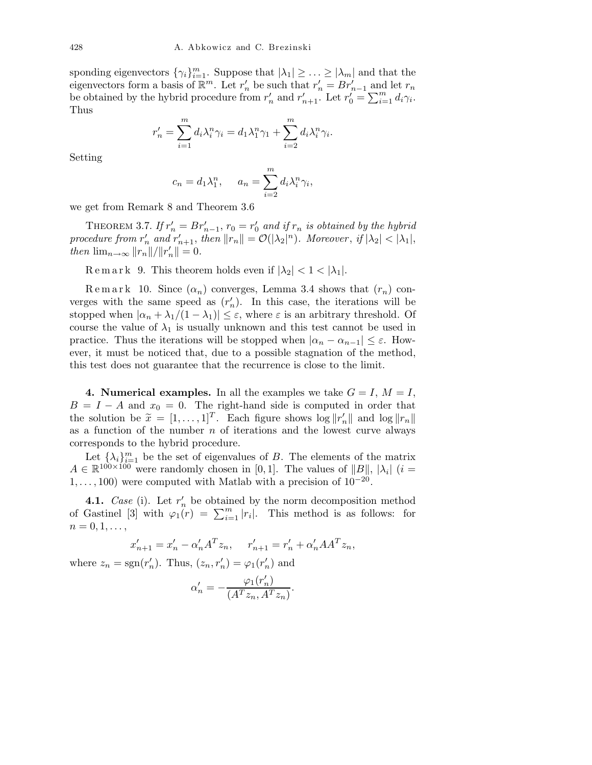sponding eigenvectors  $\{\gamma_i\}_{i=1}^m$ . Suppose that  $|\lambda_1| \geq \ldots \geq |\lambda_m|$  and that the eigenvectors form a basis of  $\mathbb{R}^m$ . Let  $r'_n$  be such that  $r'_n = Br'_{n-1}$  and let  $r_n$ be obtained by the hybrid procedure from  $r'_n$  and  $r'_{n+1}$ . Let  $r'_0 = \sum_{i=1}^m d_i \gamma_i$ . Thus

$$
r'_n = \sum_{i=1}^m d_i \lambda_i^n \gamma_i = d_1 \lambda_1^n \gamma_1 + \sum_{i=2}^m d_i \lambda_i^n \gamma_i.
$$

Setting

$$
c_n = d_1 \lambda_1^n, \quad a_n = \sum_{i=2}^m d_i \lambda_i^n \gamma_i,
$$

we get from Remark 8 and Theorem 3.6

THEOREM 3.7. If  $r'_n = Br'_{n-1}$ ,  $r_0 = r'_0$  and if  $r_n$  is obtained by the hybrid procedure from  $r'_n$  and  $r'_{n+1}$ , then  $||r_n|| = \mathcal{O}(|\lambda_2|^n)$ . Moreover, if  $|\lambda_2| < |\lambda_1|$ , then  $\lim_{n\to\infty} ||r_n||/||r_n'|| = 0.$ 

 $\text{R}$  e m a r k 9. This theorem holds even if  $|\lambda_2|$  < 1 <  $|\lambda_1|$ .

 $\text{R} \text{ e m a r k}$  10. Since  $(\alpha_n)$  converges, Lemma 3.4 shows that  $(r_n)$  converges with the same speed as  $(r'_n)$ . In this case, the iterations will be stopped when  $|\alpha_n + \lambda_1/(1 - \lambda_1)| \leq \varepsilon$ , where  $\varepsilon$  is an arbitrary threshold. Of course the value of  $\lambda_1$  is usually unknown and this test cannot be used in practice. Thus the iterations will be stopped when  $|\alpha_n - \alpha_{n-1}| \leq \varepsilon$ . However, it must be noticed that, due to a possible stagnation of the method, this test does not guarantee that the recurrence is close to the limit.

4. Numerical examples. In all the examples we take  $G = I, M = I$ ,  $B = I - A$  and  $x_0 = 0$ . The right-hand side is computed in order that the solution be  $\tilde{x} = [1, \ldots, 1]^T$ . Each figure shows  $\log ||r'_n||$  and  $\log ||r_n||$ as a function of the number  $n$  of iterations and the lowest curve always corresponds to the hybrid procedure.

Let  $\{\lambda_i\}_{i=1}^m$  be the set of eigenvalues of B. The elements of the matrix  $A \in \mathbb{R}^{100 \times 100}$  were randomly chosen in [0, 1]. The values of ||B||, | $\lambda_i$ | (i =  $1, \ldots, 100$ ) were computed with Matlab with a precision of  $10^{-20}$ .

**4.1.** Case (i). Let  $r'_n$  be obtained by the norm decomposition method of Gastinel [3] with  $\varphi_1(r) = \sum_{i=1}^m |r_i|$ . This method is as follows: for  $n=0,1,\ldots,$ 

$$
x'_{n+1} = x'_{n} - \alpha'_{n} A^{T} z_{n}, \quad r'_{n+1} = r'_{n} + \alpha'_{n} A A^{T} z_{n},
$$

where  $z_n = \text{sgn}(r'_n)$ . Thus,  $(z_n, r'_n) = \varphi_1(r'_n)$  and

$$
\alpha'_n = -\frac{\varphi_1(r'_n)}{(A^T z_n, A^T z_n)}.
$$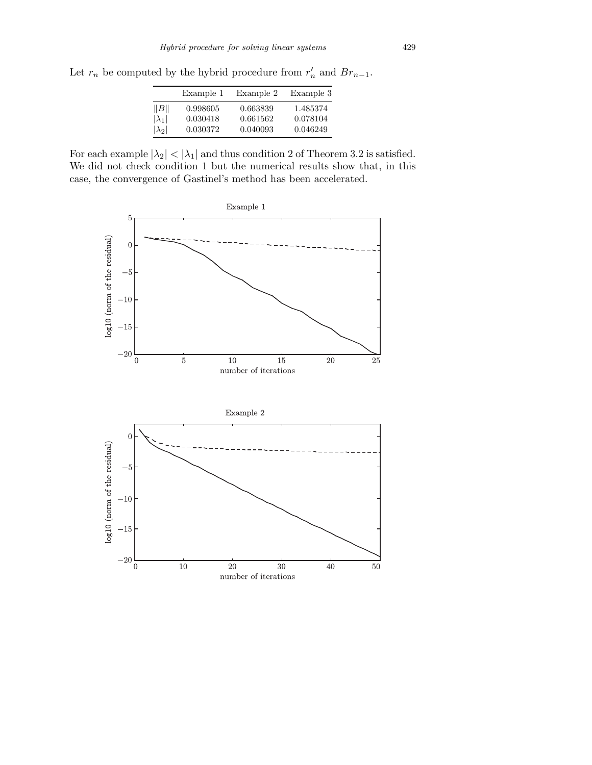Let  $r_n$  be computed by the hybrid procedure from  $r'_n$  and  $Br_{n-1}$ .

|               | Example 1 | Example 2 | Example 3 |
|---------------|-----------|-----------|-----------|
| B             | 0.998605  | 0.663839  | 1.485374  |
| $ \lambda_1 $ | 0.030418  | 0.661562  | 0.078104  |
| $ \lambda_2 $ | 0.030372  | 0.040093  | 0.046249  |

For each example  $|\lambda_2| < |\lambda_1|$  and thus condition 2 of Theorem 3.2 is satisfied. We did not check condition 1 but the numerical results show that, in this case, the convergence of Gastinel's method has been accelerated.

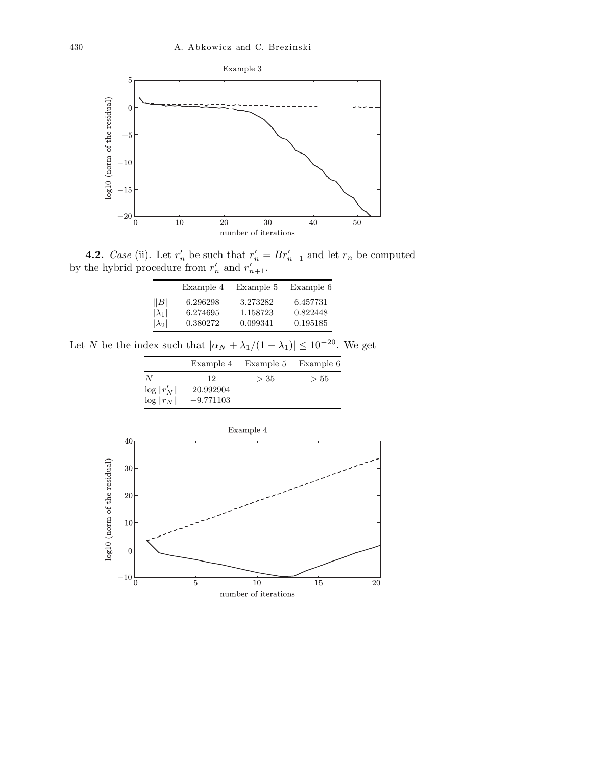

**4.2.** Case (ii). Let  $r'_n$  be such that  $r'_n = Br'_{n-1}$  and let  $r_n$  be computed by the hybrid procedure from  $r'_n$  and  $r'_{n+1}$ .

|               | Example 4 | Example 5 | Example 6 |
|---------------|-----------|-----------|-----------|
| B             | 6.296298  | 3.273282  | 6.457731  |
| $ \lambda_1 $ | 6.274695  | 1.158723  | 0.822448  |
| $ \lambda_2 $ | 0.380272  | 0.099341  | 0.195185  |

Let N be the index such that  $|\alpha_N + \lambda_1/(1-\lambda_1)| \leq 10^{-20}.$  We get

|                 | Example 4   | Example 5 | Example 6 |
|-----------------|-------------|-----------|-----------|
| N               | 12.         | > 35      | > 55      |
| $\log   r_N'  $ | 20.992904   |           |           |
| $\log   r_N  $  | $-9.771103$ |           |           |

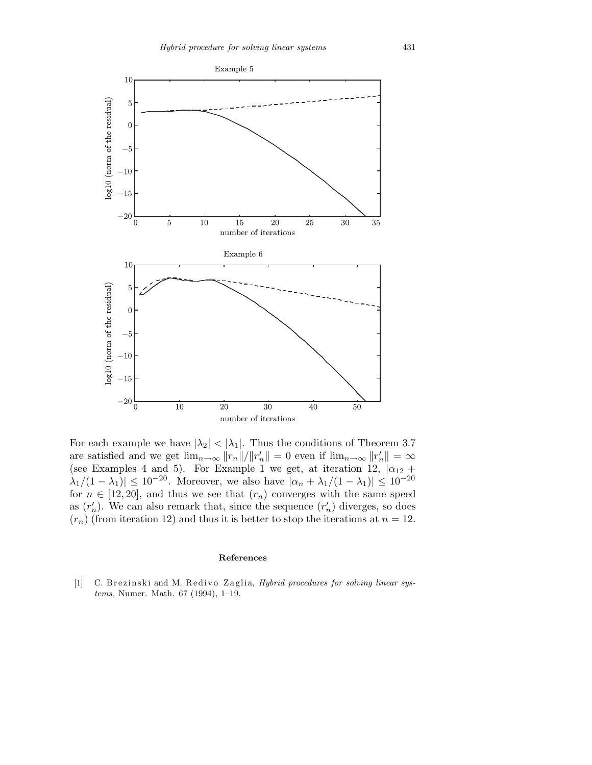

For each example we have  $|\lambda_2| < |\lambda_1|$ . Thus the conditions of Theorem 3.7 are satisfied and we get  $\lim_{n\to\infty} ||r_n||/||r_n'|| = 0$  even if  $\lim_{n\to\infty} ||r_n'|| = \infty$ (see Examples 4 and 5). For Example 1 we get, at iteration 12,  $|\alpha_{12} + \alpha_{13}|$  $|\lambda_1/(1-\lambda_1)| \leq 10^{-20}$ . Moreover, we also have  $|\alpha_n + \lambda_1/(1-\lambda_1)| \leq 10^{-20}$ for  $n \in [12, 20]$ , and thus we see that  $(r_n)$  converges with the same speed as  $(r'_n)$ . We can also remark that, since the sequence  $(r'_n)$  diverges, so does  $(r_n)$  (from iteration 12) and thus it is better to stop the iterations at  $n = 12$ .

## **References**

[1] C. Brezinski and M. Redivo Zaglia, *Hybrid procedures for solving linear systems*, Numer. Math. 67 (1994), 1–19.